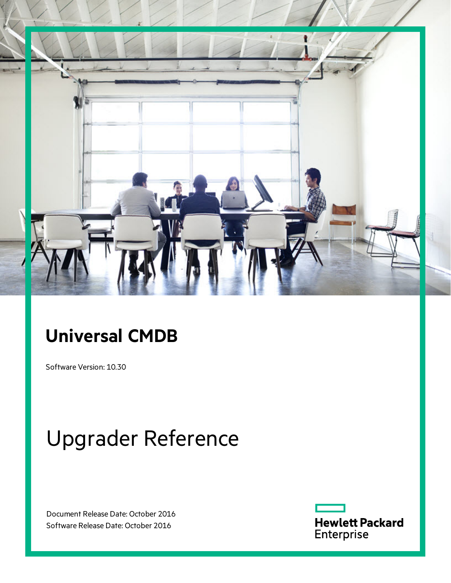

# **Universal CMDB**

Software Version: 10.30

# Upgrader Reference

Document Release Date: October 2016 Software Release Date: October 2016

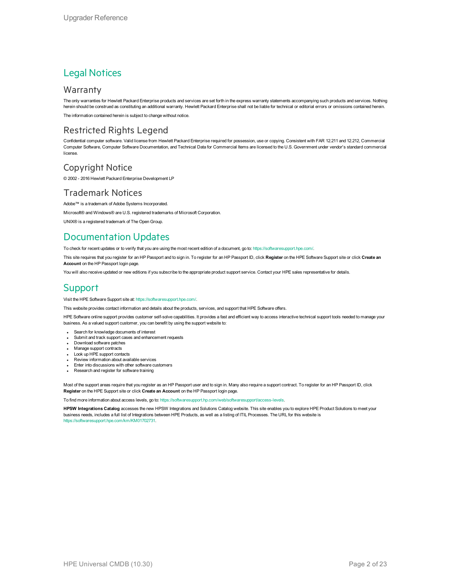### Legal Notices

#### **Warranty**

The only warranties for Hewlett Packard Enterprise products and services are set forth in the express warranty statements accompanying such products and services. Nothing herein should be construed as constituting an additional warranty. Hewlett Packard Enterprise shall not be liable for technical or editorial errors or omissions contained herein.

The information contained herein is subject to change without notice.

### Restricted Rights Legend

Confidential computer software. Valid license from Hewlett Packard Enterprise required for possession, use or copying. Consistent with FAR 12.211 and 12.212, Commercial Computer Software, Computer Software Documentation, and Technical Data for Commercial Items are licensed to the U.S. Government under vendor's standard commercial license.

#### Copyright Notice

© 2002 - 2016 Hewlett Packard Enterprise Development LP

#### Trademark Notices

Adobe™ is a trademark of Adobe Systems Incorporated. Microsoft® and Windows® are U.S. registered trademarks of Microsoft Corporation. UNIX® is a registered trademark of The Open Group.

### Documentation Updates

To check for recent updates or to verify that you are using the most recent edition of a document, go to: <https://softwaresupport.hpe.com/>.

This site requires that you register for an HP Passport and to sign in. To register for an HP Passport ID, click **Register** on the HPE Software Support site or click **Create an Account** on the HP Passport login page.

You will also receive updated or new editions if you subscribe to the appropriate product support service. Contact your HPE sales representative for details.

### **Support**

Visit the HPE Software Support site at: <https://softwaresupport.hpe.com/>.

This website provides contact information and details about the products, services, and support that HPE Software offers.

HPE Software online support provides customer self-solve capabilities. It provides a fast and efficient way to access interactive technical support tools needed to manage your business. As a valued support customer, you can benefit by using the support website to:

- Search for knowledge documents of interest
- Submit and track support cases and enhancement requests
- Download software patches
- **Manage support contracts**
- Look up HPE support contacts
- **Review information about available services**
- Enter into discussions with other software customers
- Research and register for software training

Most of the support areas require that you register as an HP Passport user and to sign in. Many also require a support contract. To register for an HP Passport ID, click **Register** on the HPE Support site or click **Create an Account** on the HP Passport login page.

To find more information about access levels, go to: [https://softwaresupport.hp.com/web/softwaresupport/access-levels.](https://softwaresupport.hp.com/web/softwaresupport/access-levels)

**HPSW Integrations Catalog** accesses the new HPSW Integrations and Solutions Catalog website. This site enables you to explore HPE Product Solutions to meet your business needs, includes a full list of Integrations between HPE Products, as well as a listing of ITIL Processes. The URL for this website is [https://softwaresupport.hpe.com/km/KM01702731.](https://softwaresupport.hpe.com/km/KM01702731)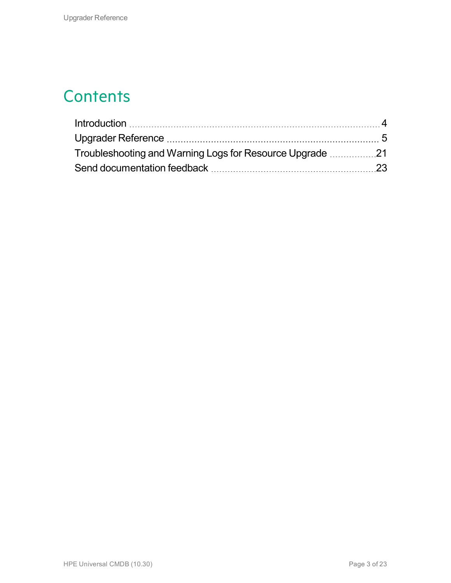## **Contents**

| Troubleshooting and Warning Logs for Resource Upgrade 21 |  |
|----------------------------------------------------------|--|
|                                                          |  |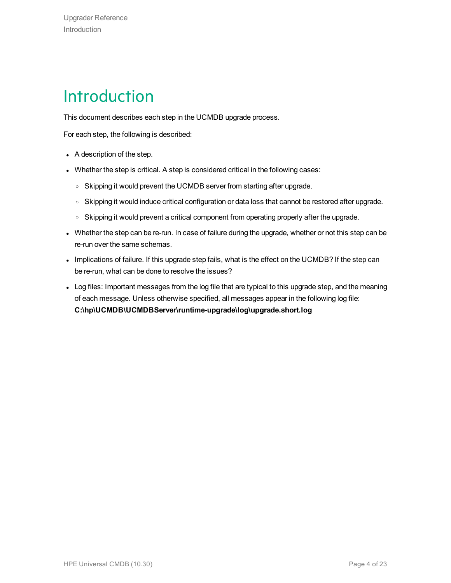# <span id="page-3-0"></span>Introduction

This document describes each step in the UCMDB upgrade process.

For each step, the following is described:

- $\bullet$  A description of the step.
- Whether the step is critical. A step is considered critical in the following cases:
	- Skipping it would prevent the UCMDB server from starting after upgrade.
	- Skipping it would induce critical configuration or data loss that cannot be restored after upgrade.
	- Skipping it would prevent a critical component from operating properly after the upgrade.
- Whether the step can be re-run. In case of failure during the upgrade, whether or not this step can be re-run over the same schemas.
- Implications of failure. If this upgrade step fails, what is the effect on the UCMDB? If the step can be re-run, what can be done to resolve the issues?
- Log files: Important messages from the log file that are typical to this upgrade step, and the meaning of each message. Unless otherwise specified, all messages appear in the following log file: **C:\hp\UCMDB\UCMDBServer\runtime-upgrade\log\upgrade.short.log**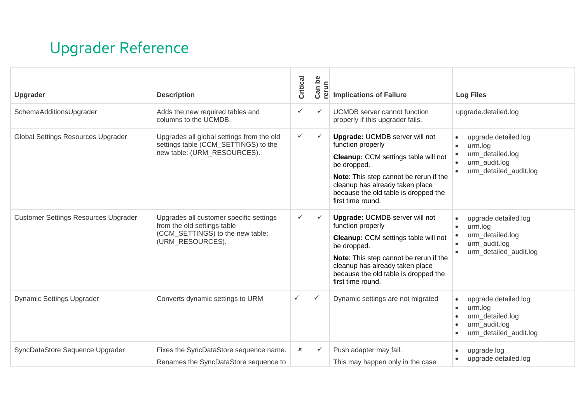# <span id="page-4-0"></span>Upgrader Reference

| Upgrader                                    | <b>Description</b>                                                                                                             | Critical       | Can be<br>rerun | <b>Implications of Failure</b>                                                                                                                                                                                                                              | <b>Log Files</b>                                                                                            |
|---------------------------------------------|--------------------------------------------------------------------------------------------------------------------------------|----------------|-----------------|-------------------------------------------------------------------------------------------------------------------------------------------------------------------------------------------------------------------------------------------------------------|-------------------------------------------------------------------------------------------------------------|
| SchemaAdditionsUpgrader                     | Adds the new required tables and<br>columns to the UCMDB.                                                                      | $\checkmark$   | $\checkmark$    | <b>UCMDB</b> server cannot function<br>properly if this upgrader fails.                                                                                                                                                                                     | upgrade.detailed.log                                                                                        |
| Global Settings Resources Upgrader          | Upgrades all global settings from the old<br>settings table (CCM_SETTINGS) to the<br>new table: (URM RESOURCES).               | $\checkmark$   | $\checkmark$    | <b>Upgrade: UCMDB server will not</b><br>function properly<br>Cleanup: CCM settings table will not<br>be dropped.<br>Note: This step cannot be rerun if the<br>cleanup has already taken place<br>because the old table is dropped the<br>first time round. | upgrade.detailed.log<br>urm.log<br>urm_detailed.log<br>urm_audit.log<br>urm_detailed_audit.log              |
| <b>Customer Settings Resources Upgrader</b> | Upgrades all customer specific settings<br>from the old settings table<br>(CCM_SETTINGS) to the new table:<br>(URM_RESOURCES). | $\checkmark$   | ✓               | <b>Upgrade: UCMDB server will not</b><br>function properly<br>Cleanup: CCM settings table will not<br>be dropped.<br>Note: This step cannot be rerun if the<br>cleanup has already taken place<br>because the old table is dropped the<br>first time round. | upgrade.detailed.log<br>urm.log<br>$\bullet$<br>urm_detailed.log<br>urm audit.log<br>urm detailed audit.log |
| <b>Dynamic Settings Upgrader</b>            | Converts dynamic settings to URM                                                                                               | $\checkmark$   | $\checkmark$    | Dynamic settings are not migrated                                                                                                                                                                                                                           | upgrade.detailed.log<br>urm.log<br>$\bullet$<br>urm detailed.log<br>urm audit.log<br>urm_detailed_audit.log |
| SyncDataStore Sequence Upgrader             | Fixes the SyncDataStore sequence name.<br>Renames the SyncDataStore sequence to                                                | $\pmb{\times}$ | $\checkmark$    | Push adapter may fail.<br>This may happen only in the case                                                                                                                                                                                                  | upgrade.log<br>upgrade.detailed.log                                                                         |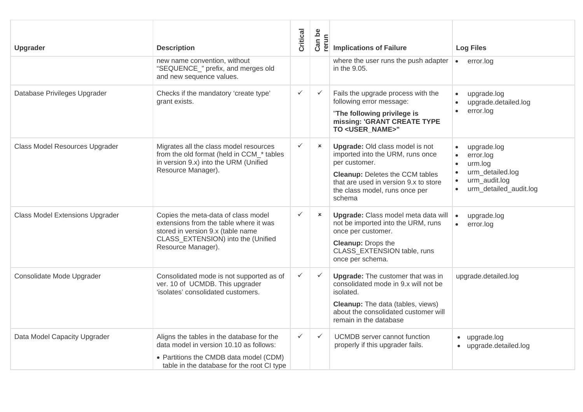| <b>Upgrader</b>                        | <b>Description</b>                                                                                                                                                             | Critical     | $\mathsf{b}\mathsf{e}$<br>Can b<br>rerun | <b>Implications of Failure</b>                                                                                                                                                                                             | <b>Log Files</b>                                                                                                |
|----------------------------------------|--------------------------------------------------------------------------------------------------------------------------------------------------------------------------------|--------------|------------------------------------------|----------------------------------------------------------------------------------------------------------------------------------------------------------------------------------------------------------------------------|-----------------------------------------------------------------------------------------------------------------|
|                                        | new name convention, without<br>"SEQUENCE_" prefix, and merges old<br>and new sequence values.                                                                                 |              |                                          | where the user runs the push adapter<br>in the 9.05.                                                                                                                                                                       | $\bullet$<br>error.log                                                                                          |
| Database Privileges Upgrader           | Checks if the mandatory 'create type'<br>grant exists.                                                                                                                         | $\checkmark$ | $\checkmark$                             | Fails the upgrade process with the<br>following error message:<br>"The following privilege is<br>missing: 'GRANT CREATE TYPE<br>TO <user name="">"</user>                                                                  | upgrade.log<br>upgrade.detailed.log<br>error.log<br>$\bullet$                                                   |
| Class Model Resources Upgrader         | Migrates all the class model resources<br>from the old format (held in CCM_* tables<br>in version 9.x) into the URM (Unified<br>Resource Manager).                             | $\checkmark$ | $\pmb{\times}$                           | <b>Upgrade: Old class model is not</b><br>imported into the URM, runs once<br>per customer.<br><b>Cleanup: Deletes the CCM tables</b><br>that are used in version 9.x to store<br>the class model, runs once per<br>schema | upgrade.log<br>error.log<br>$\bullet$<br>urm.log<br>urm_detailed.log<br>urm_audit.log<br>urm_detailed_audit.log |
| <b>Class Model Extensions Upgrader</b> | Copies the meta-data of class model<br>extensions from the table where it was<br>stored in version 9.x (table name<br>CLASS_EXTENSION) into the (Unified<br>Resource Manager). | $\checkmark$ | $\pmb{\times}$                           | Upgrade: Class model meta data will<br>not be imported into the URM, runs<br>once per customer.<br><b>Cleanup: Drops the</b><br>CLASS EXTENSION table, runs<br>once per schema.                                            | upgrade.log<br>$\bullet$<br>error.log<br>$\bullet$                                                              |
| Consolidate Mode Upgrader              | Consolidated mode is not supported as of<br>ver. 10 of UCMDB. This upgrader<br>'isolates' consolidated customers.                                                              | $\checkmark$ | $\checkmark$                             | <b>Upgrade:</b> The customer that was in<br>consolidated mode in 9.x will not be<br>isolated.<br><b>Cleanup:</b> The data (tables, views)<br>about the consolidated customer will<br>remain in the database                | upgrade.detailed.log                                                                                            |
| Data Model Capacity Upgrader           | Aligns the tables in the database for the<br>data model in version 10.10 as follows:<br>• Partitions the CMDB data model (CDM)<br>table in the database for the root CI type   | $\checkmark$ | $\checkmark$                             | <b>UCMDB</b> server cannot function<br>properly if this upgrader fails.                                                                                                                                                    | • upgrade.log<br>upgrade.detailed.log<br>$\bullet$                                                              |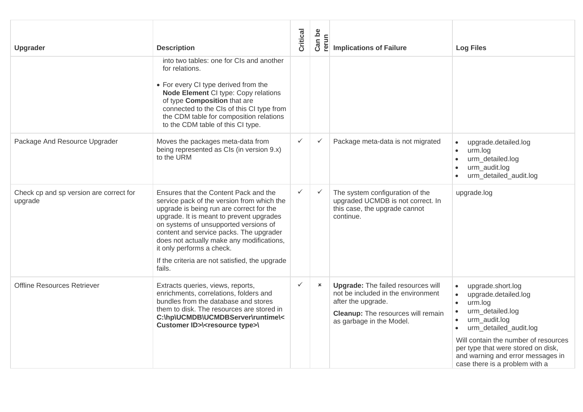| <b>Upgrader</b>                                    | <b>Description</b>                                                                                                                                                                                                                                                                                                                                                                                    | Critical     | Can be<br>rerun | <b>Implications of Failure</b>                                                                                                                                                 | <b>Log Files</b>                                                                                                                                                                                                                                                                      |
|----------------------------------------------------|-------------------------------------------------------------------------------------------------------------------------------------------------------------------------------------------------------------------------------------------------------------------------------------------------------------------------------------------------------------------------------------------------------|--------------|-----------------|--------------------------------------------------------------------------------------------------------------------------------------------------------------------------------|---------------------------------------------------------------------------------------------------------------------------------------------------------------------------------------------------------------------------------------------------------------------------------------|
|                                                    | into two tables: one for CIs and another<br>for relations.<br>• For every CI type derived from the<br>Node Element CI type: Copy relations<br>of type Composition that are<br>connected to the CIs of this CI type from<br>the CDM table for composition relations<br>to the CDM table of this CI type.                                                                                               |              |                 |                                                                                                                                                                                |                                                                                                                                                                                                                                                                                       |
| Package And Resource Upgrader                      | Moves the packages meta-data from<br>being represented as CIs (in version 9.x)<br>to the URM                                                                                                                                                                                                                                                                                                          | $\checkmark$ | $\checkmark$    | Package meta-data is not migrated                                                                                                                                              | upgrade.detailed.log<br>urm.log<br>$\bullet$<br>urm_detailed.log<br>urm_audit.log<br>urm detailed audit.log                                                                                                                                                                           |
| Check cp and sp version are correct for<br>upgrade | Ensures that the Content Pack and the<br>service pack of the version from which the<br>upgrade is being run are correct for the<br>upgrade. It is meant to prevent upgrades<br>on systems of unsupported versions of<br>content and service packs. The upgrader<br>does not actually make any modifications,<br>it only performs a check.<br>If the criteria are not satisfied, the upgrade<br>fails. | $\checkmark$ | $\checkmark$    | The system configuration of the<br>upgraded UCMDB is not correct. In<br>this case, the upgrade cannot<br>continue.                                                             | upgrade.log                                                                                                                                                                                                                                                                           |
| Offline Resources Retriever                        | Extracts queries, views, reports,<br>enrichments, correlations, folders and<br>bundles from the database and stores<br>them to disk. The resources are stored in<br>C:\hp\UCMDB\UCMDBServer\runtime\<<br>Customer ID>\ <resource type="">\</resource>                                                                                                                                                 | $\checkmark$ | $\mathbf{x}$    | <b>Upgrade:</b> The failed resources will<br>not be included in the environment<br>after the upgrade.<br><b>Cleanup:</b> The resources will remain<br>as garbage in the Model. | upgrade.short.log<br>upgrade.detailed.log<br>urm.log<br>$\bullet$<br>urm_detailed.log<br>urm audit.log<br>urm_detailed_audit.log<br>Will contain the number of resources<br>per type that were stored on disk,<br>and warning and error messages in<br>case there is a problem with a |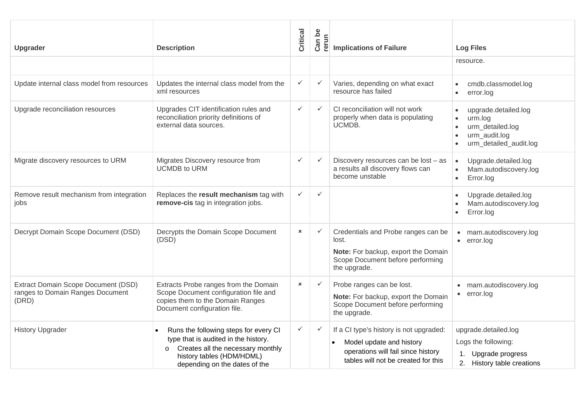| Upgrader                                                                         | <b>Description</b>                                                                                                                                                                                       | Critical       | Can be<br>rerun | <b>Implications of Failure</b>                                                                                                                   | <b>Log Files</b>                                                                                            |
|----------------------------------------------------------------------------------|----------------------------------------------------------------------------------------------------------------------------------------------------------------------------------------------------------|----------------|-----------------|--------------------------------------------------------------------------------------------------------------------------------------------------|-------------------------------------------------------------------------------------------------------------|
|                                                                                  |                                                                                                                                                                                                          |                |                 |                                                                                                                                                  | resource.                                                                                                   |
| Update internal class model from resources                                       | Updates the internal class model from the<br>xml resources                                                                                                                                               | $\checkmark$   | $\checkmark$    | Varies, depending on what exact<br>resource has failed                                                                                           | cmdb.classmodel.log<br>error.log<br>$\bullet$                                                               |
| Upgrade reconciliation resources                                                 | Upgrades CIT identification rules and<br>reconciliation priority definitions of<br>external data sources.                                                                                                | $\checkmark$   | $\checkmark$    | CI reconciliation will not work<br>properly when data is populating<br>UCMDB.                                                                    | upgrade.detailed.log<br>urm.log<br>$\bullet$<br>urm_detailed.log<br>urm_audit.log<br>urm_detailed_audit.log |
| Migrate discovery resources to URM                                               | Migrates Discovery resource from<br><b>UCMDB to URM</b>                                                                                                                                                  | $\checkmark$   | $\checkmark$    | Discovery resources can be lost - as<br>a results all discovery flows can<br>become unstable                                                     | Upgrade.detailed.log<br>Mam.autodiscovery.log<br>Error.log<br>$\bullet$                                     |
| Remove result mechanism from integration<br>jobs                                 | Replaces the result mechanism tag with<br>remove-cis tag in integration jobs.                                                                                                                            | $\checkmark$   | $\checkmark$    |                                                                                                                                                  | Upgrade.detailed.log<br>Mam.autodiscovery.log<br>Error.log                                                  |
| Decrypt Domain Scope Document (DSD)                                              | Decrypts the Domain Scope Document<br>(DSD)                                                                                                                                                              | $\pmb{\times}$ | $\checkmark$    | Credentials and Probe ranges can be<br>lost.<br>Note: For backup, export the Domain<br>Scope Document before performing<br>the upgrade.          | mam.autodiscovery.log<br>error.log<br>$\bullet$                                                             |
| Extract Domain Scope Document (DSD)<br>ranges to Domain Ranges Document<br>(DRD) | Extracts Probe ranges from the Domain<br>Scope Document configuration file and<br>copies them to the Domain Ranges<br>Document configuration file.                                                       | $\pmb{\times}$ | $\checkmark$    | Probe ranges can be lost.<br>Note: For backup, export the Domain<br>Scope Document before performing<br>the upgrade.                             | mam.autodiscovery.log<br>error.log<br>$\bullet$                                                             |
| <b>History Upgrader</b>                                                          | Runs the following steps for every CI<br>$\bullet$<br>type that is audited in the history.<br>Creates all the necessary monthly<br>$\circ$<br>history tables (HDM/HDML)<br>depending on the dates of the | $\checkmark$   | $\checkmark$    | If a CI type's history is not upgraded:<br>Model update and history<br>operations will fail since history<br>tables will not be created for this | upgrade.detailed.log<br>Logs the following:<br>1. Upgrade progress<br>2. History table creations            |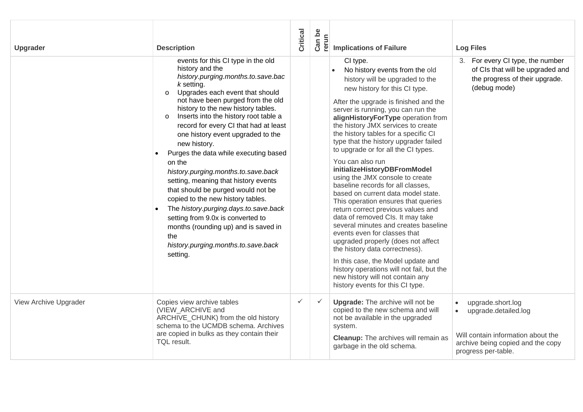| <b>Upgrader</b>       | <b>Description</b>                                                                                                                                                                                                                                                                                                                                                                                                                                                                                                                                                                                                                                                                                                                                                                   | Critical     | Can be<br>rerun | <b>Implications of Failure</b>                                                                                                                                                                                                                                                                                                                                                                                                                                                                                                                                                                                                                                                                                                                                                                                                                                                                                                                                                                  | <b>Log Files</b>                                                                                                                            |
|-----------------------|--------------------------------------------------------------------------------------------------------------------------------------------------------------------------------------------------------------------------------------------------------------------------------------------------------------------------------------------------------------------------------------------------------------------------------------------------------------------------------------------------------------------------------------------------------------------------------------------------------------------------------------------------------------------------------------------------------------------------------------------------------------------------------------|--------------|-----------------|-------------------------------------------------------------------------------------------------------------------------------------------------------------------------------------------------------------------------------------------------------------------------------------------------------------------------------------------------------------------------------------------------------------------------------------------------------------------------------------------------------------------------------------------------------------------------------------------------------------------------------------------------------------------------------------------------------------------------------------------------------------------------------------------------------------------------------------------------------------------------------------------------------------------------------------------------------------------------------------------------|---------------------------------------------------------------------------------------------------------------------------------------------|
|                       | events for this CI type in the old<br>history and the<br>history.purging.months.to.save.bac<br>$k$ setting.<br>Upgrades each event that should<br>$\circ$<br>not have been purged from the old<br>history to the new history tables.<br>Inserts into the history root table a<br>$\Omega$<br>record for every CI that had at least<br>one history event upgraded to the<br>new history.<br>Purges the data while executing based<br>on the<br>history.purging.months.to.save.back<br>setting, meaning that history events<br>that should be purged would not be<br>copied to the new history tables.<br>The history.purging.days.to.save.back<br>setting from 9.0x is converted to<br>months (rounding up) and is saved in<br>the<br>history.purging.months.to.save.back<br>setting. |              |                 | CI type.<br>No history events from the old<br>history will be upgraded to the<br>new history for this CI type.<br>After the upgrade is finished and the<br>server is running, you can run the<br>alignHistoryForType operation from<br>the history JMX services to create<br>the history tables for a specific CI<br>type that the history upgrader failed<br>to upgrade or for all the CI types.<br>You can also run<br>initializeHistoryDBFromModel<br>using the JMX console to create<br>baseline records for all classes.<br>based on current data model state.<br>This operation ensures that queries<br>return correct previous values and<br>data of removed CIs. It may take<br>several minutes and creates baseline<br>events even for classes that<br>upgraded properly (does not affect<br>the history data correctness).<br>In this case, the Model update and<br>history operations will not fail, but the<br>new history will not contain any<br>history events for this CI type. | 3. For every CI type, the number<br>of CIs that will be upgraded and<br>the progress of their upgrade.<br>(debug mode)                      |
| View Archive Upgrader | Copies view archive tables<br>(VIEW ARCHIVE and<br>ARCHIVE_CHUNK) from the old history<br>schema to the UCMDB schema. Archives<br>are copied in bulks as they contain their<br>TQL result.                                                                                                                                                                                                                                                                                                                                                                                                                                                                                                                                                                                           | $\checkmark$ | $\checkmark$    | <b>Upgrade:</b> The archive will not be<br>copied to the new schema and will<br>not be available in the upgraded<br>system.<br><b>Cleanup:</b> The archives will remain as<br>garbage in the old schema.                                                                                                                                                                                                                                                                                                                                                                                                                                                                                                                                                                                                                                                                                                                                                                                        | upgrade.short.log<br>upgrade.detailed.log<br>Will contain information about the<br>archive being copied and the copy<br>progress per-table. |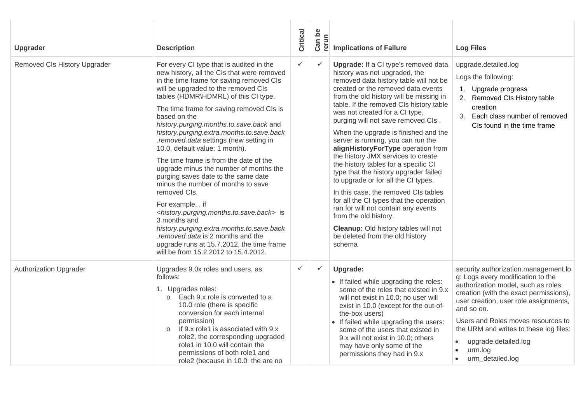| Upgrader                      | <b>Description</b>                                                                                                                                                                                                                                                                                                                                                                                                                                                                                                                                                                                                                                                                                                                                                                                                                                                                                                                    | Critical     | Can be<br>rerun | <b>Implications of Failure</b>                                                                                                                                                                                                                                                                                                                                                                                                                                                                                                                                                                                                                                                                                                                                                                                                                | <b>Log Files</b>                                                                                                                                                                                                                                                                                                                                                     |
|-------------------------------|---------------------------------------------------------------------------------------------------------------------------------------------------------------------------------------------------------------------------------------------------------------------------------------------------------------------------------------------------------------------------------------------------------------------------------------------------------------------------------------------------------------------------------------------------------------------------------------------------------------------------------------------------------------------------------------------------------------------------------------------------------------------------------------------------------------------------------------------------------------------------------------------------------------------------------------|--------------|-----------------|-----------------------------------------------------------------------------------------------------------------------------------------------------------------------------------------------------------------------------------------------------------------------------------------------------------------------------------------------------------------------------------------------------------------------------------------------------------------------------------------------------------------------------------------------------------------------------------------------------------------------------------------------------------------------------------------------------------------------------------------------------------------------------------------------------------------------------------------------|----------------------------------------------------------------------------------------------------------------------------------------------------------------------------------------------------------------------------------------------------------------------------------------------------------------------------------------------------------------------|
| Removed CIs History Upgrader  | For every CI type that is audited in the<br>new history, all the CIs that were removed<br>in the time frame for saving removed CIs<br>will be upgraded to the removed CIs<br>tables (HDMR\HDMRL) of this CI type.<br>The time frame for saving removed CIs is<br>based on the<br>history.purging.months.to.save.back and<br>history.purging.extra.months.to.save.back<br>.removed.data settings (new setting in<br>10.0, default value: 1 month).<br>The time frame is from the date of the<br>upgrade minus the number of months the<br>purging saves date to the same date<br>minus the number of months to save<br>removed CIs.<br>For example, . if<br><history.purging.months.to.save.back> is<br/>3 months and<br/>history.purging.extra.months.to.save.back<br/>.removed.data is 2 months and the<br/>upgrade runs at 15.7.2012, the time frame<br/>will be from 15.2.2012 to 15.4.2012.</history.purging.months.to.save.back> | $\checkmark$ | $\checkmark$    | Upgrade: If a CI type's removed data<br>history was not upgraded, the<br>removed data history table will not be<br>created or the removed data events<br>from the old history will be missing in<br>table. If the removed CIs history table<br>was not created for a CI type,<br>purging will not save removed CIs.<br>When the upgrade is finished and the<br>server is running, you can run the<br>alignHistoryForType operation from<br>the history JMX services to create<br>the history tables for a specific CI<br>type that the history upgrader failed<br>to upgrade or for all the CI types.<br>In this case, the removed CIs tables<br>for all the CI types that the operation<br>ran for will not contain any events<br>from the old history.<br>Cleanup: Old history tables will not<br>be deleted from the old history<br>schema | upgrade.detailed.log<br>Logs the following:<br>1. Upgrade progress<br>2. Removed CIs History table<br>creation<br>Each class number of removed<br>3.<br>CIs found in the time frame                                                                                                                                                                                  |
| <b>Authorization Upgrader</b> | Upgrades 9.0x roles and users, as<br>follows:<br>1. Upgrades roles:<br>Each 9.x role is converted to a<br>$\Omega$<br>10.0 role (there is specific<br>conversion for each internal<br>permission)<br>If 9.x role1 is associated with 9.x<br>$\circ$<br>role2, the corresponding upgraded<br>role1 in 10.0 will contain the<br>permissions of both role1 and<br>role2 (because in 10.0 the are no                                                                                                                                                                                                                                                                                                                                                                                                                                                                                                                                      | $\checkmark$ | $\checkmark$    | Upgrade:<br>• If failed while upgrading the roles:<br>some of the roles that existed in 9.x<br>will not exist in 10.0; no user will<br>exist in 10.0 (except for the out-of-<br>the-box users)<br>• If failed while upgrading the users:<br>some of the users that existed in<br>9.x will not exist in 10.0; others<br>may have only some of the<br>permissions they had in 9.x                                                                                                                                                                                                                                                                                                                                                                                                                                                               | security.authorization.management.lo<br>g: Logs every modification to the<br>authorization model, such as roles<br>creation (with the exact permissions),<br>user creation, user role assignments,<br>and so on.<br>Users and Roles moves resources to<br>the URM and writes to these log files:<br>upgrade.detailed.log<br>$\bullet$<br>urm.log<br>urm_detailed.log |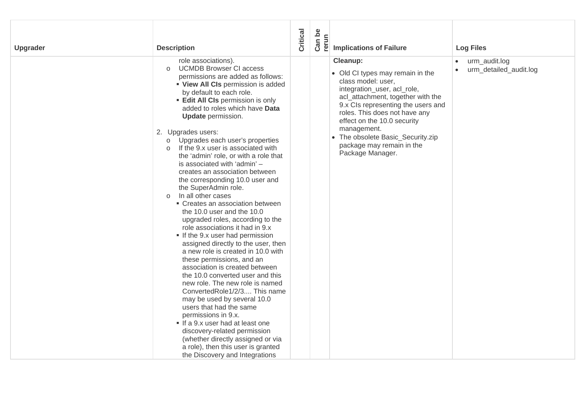| <b>Upgrader</b> | <b>Description</b>                                                                                                                                                                                                                                                                                                                                                                                                                                                                                                                                                                                                                                                                                                                                                                                                                                                                                                                                                                                                                                                                                                                                                                                                                                                                                          | Critical | Can be<br>rerun | <b>Implications of Failure</b>                                                                                                                                                                                                                                                                                                                    | <b>Log Files</b>                                     |
|-----------------|-------------------------------------------------------------------------------------------------------------------------------------------------------------------------------------------------------------------------------------------------------------------------------------------------------------------------------------------------------------------------------------------------------------------------------------------------------------------------------------------------------------------------------------------------------------------------------------------------------------------------------------------------------------------------------------------------------------------------------------------------------------------------------------------------------------------------------------------------------------------------------------------------------------------------------------------------------------------------------------------------------------------------------------------------------------------------------------------------------------------------------------------------------------------------------------------------------------------------------------------------------------------------------------------------------------|----------|-----------------|---------------------------------------------------------------------------------------------------------------------------------------------------------------------------------------------------------------------------------------------------------------------------------------------------------------------------------------------------|------------------------------------------------------|
|                 | role associations).<br><b>UCMDB Browser CI access</b><br>$\circ$<br>permissions are added as follows:<br>" View All CIs permission is added<br>by default to each role.<br><b>Edit All CIs permission is only</b><br>added to roles which have Data<br><b>Update</b> permission.<br>2. Upgrades users:<br>Upgrades each user's properties<br>$\circ$<br>If the 9.x user is associated with<br>$\circ$<br>the 'admin' role, or with a role that<br>is associated with 'admin' -<br>creates an association between<br>the corresponding 10.0 user and<br>the SuperAdmin role.<br>In all other cases<br>$\Omega$<br>• Creates an association between<br>the 10.0 user and the 10.0<br>upgraded roles, according to the<br>role associations it had in 9.x<br>If the 9.x user had permission<br>assigned directly to the user, then<br>a new role is created in 10.0 with<br>these permissions, and an<br>association is created between<br>the 10.0 converted user and this<br>new role. The new role is named<br>ConvertedRole1/2/3 This name<br>may be used by several 10.0<br>users that had the same<br>permissions in 9.x.<br>If a 9.x user had at least one<br>discovery-related permission<br>(whether directly assigned or via<br>a role), then this user is granted<br>the Discovery and Integrations |          |                 | Cleanup:<br>• Old CI types may remain in the<br>class model: user,<br>integration_user, acl_role,<br>acl_attachment, together with the<br>9.x Cls representing the users and<br>roles. This does not have any<br>effect on the 10.0 security<br>management.<br>• The obsolete Basic_Security.zip<br>package may remain in the<br>Package Manager. | urm_audit.log<br>urm_detailed_audit.log<br>$\bullet$ |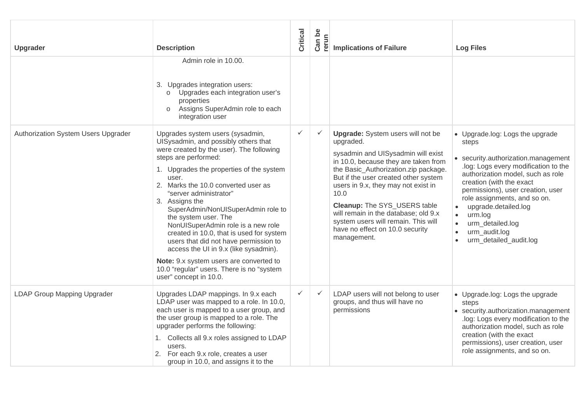| <b>Upgrader</b>                     | <b>Description</b>                                                                                                                                                                                                                                                                                                                                                                                                                                                                                                                                                                                                                       | Critical     | Can be<br>rerun | <b>Implications of Failure</b>                                                                                                                                                                                                                                                                                                                                                                                                      | <b>Log Files</b>                                                                                                                                                                                                                                                                                                                                                            |
|-------------------------------------|------------------------------------------------------------------------------------------------------------------------------------------------------------------------------------------------------------------------------------------------------------------------------------------------------------------------------------------------------------------------------------------------------------------------------------------------------------------------------------------------------------------------------------------------------------------------------------------------------------------------------------------|--------------|-----------------|-------------------------------------------------------------------------------------------------------------------------------------------------------------------------------------------------------------------------------------------------------------------------------------------------------------------------------------------------------------------------------------------------------------------------------------|-----------------------------------------------------------------------------------------------------------------------------------------------------------------------------------------------------------------------------------------------------------------------------------------------------------------------------------------------------------------------------|
|                                     | Admin role in 10.00.<br>3. Upgrades integration users:<br>Upgrades each integration user's<br>$\circ$<br>properties<br>Assigns SuperAdmin role to each<br>$\circ$<br>integration user                                                                                                                                                                                                                                                                                                                                                                                                                                                    |              |                 |                                                                                                                                                                                                                                                                                                                                                                                                                                     |                                                                                                                                                                                                                                                                                                                                                                             |
| Authorization System Users Upgrader | Upgrades system users (sysadmin,<br>UISysadmin, and possibly others that<br>were created by the user). The following<br>steps are performed:<br>1. Upgrades the properties of the system<br>user.<br>2. Marks the 10.0 converted user as<br>"server administrator"<br>3. Assigns the<br>SuperAdmin/NonUISuperAdmin role to<br>the system user. The<br>NonUISuperAdmin role is a new role<br>created in 10.0, that is used for system<br>users that did not have permission to<br>access the UI in 9.x (like sysadmin).<br>Note: 9.x system users are converted to<br>10.0 "regular" users. There is no "system<br>user" concept in 10.0. | $\checkmark$ | $\checkmark$    | <b>Upgrade:</b> System users will not be<br>upgraded.<br>sysadmin and UISysadmin will exist<br>in 10.0, because they are taken from<br>the Basic_Authorization.zip package.<br>But if the user created other system<br>users in 9.x, they may not exist in<br>10.0<br>Cleanup: The SYS_USERS table<br>will remain in the database; old 9.x<br>system users will remain. This will<br>have no effect on 10.0 security<br>management. | • Upgrade.log: Logs the upgrade<br>steps<br>• security.authorization.management<br>log: Logs every modification to the<br>authorization model, such as role<br>creation (with the exact<br>permissions), user creation, user<br>role assignments, and so on.<br>upgrade.detailed.log<br>urm.log<br>urm_detailed.log<br>urm_audit.log<br>$\bullet$<br>urm_detailed_audit.log |
| <b>LDAP Group Mapping Upgrader</b>  | Upgrades LDAP mappings. In 9.x each<br>LDAP user was mapped to a role. In 10.0,<br>each user is mapped to a user group, and<br>the user group is mapped to a role. The<br>upgrader performs the following:<br>1. Collects all 9.x roles assigned to LDAP<br>users.<br>2. For each 9.x role, creates a user<br>group in 10.0, and assigns it to the                                                                                                                                                                                                                                                                                       | ✓            | $\checkmark$    | LDAP users will not belong to user<br>groups, and thus will have no<br>permissions                                                                                                                                                                                                                                                                                                                                                  | • Upgrade.log: Logs the upgrade<br>steps<br>• security.authorization.management<br>log: Logs every modification to the<br>authorization model, such as role<br>creation (with the exact<br>permissions), user creation, user<br>role assignments, and so on.                                                                                                                |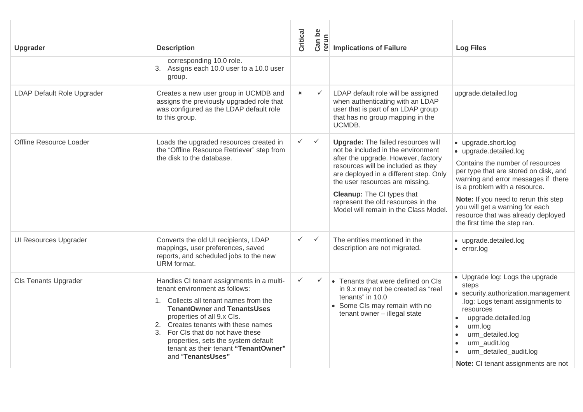| <b>Upgrader</b>              | <b>Description</b>                                                                                                                                                                                                                                                                                                                                                       | Critical                  | Can be<br>rerun | <b>Implications of Failure</b>                                                                                                                                                                                                                                                                                                                                | <b>Log Files</b>                                                                                                                                                                                                                                                                                                                                    |
|------------------------------|--------------------------------------------------------------------------------------------------------------------------------------------------------------------------------------------------------------------------------------------------------------------------------------------------------------------------------------------------------------------------|---------------------------|-----------------|---------------------------------------------------------------------------------------------------------------------------------------------------------------------------------------------------------------------------------------------------------------------------------------------------------------------------------------------------------------|-----------------------------------------------------------------------------------------------------------------------------------------------------------------------------------------------------------------------------------------------------------------------------------------------------------------------------------------------------|
|                              | corresponding 10.0 role.<br>3. Assigns each 10.0 user to a 10.0 user<br>group.                                                                                                                                                                                                                                                                                           |                           |                 |                                                                                                                                                                                                                                                                                                                                                               |                                                                                                                                                                                                                                                                                                                                                     |
| LDAP Default Role Upgrader   | Creates a new user group in UCMDB and<br>assigns the previously upgraded role that<br>was configured as the LDAP default role<br>to this group.                                                                                                                                                                                                                          | $\boldsymbol{\mathsf{x}}$ | $\checkmark$    | LDAP default role will be assigned<br>when authenticating with an LDAP<br>user that is part of an LDAP group<br>that has no group mapping in the<br>UCMDB.                                                                                                                                                                                                    | upgrade.detailed.log                                                                                                                                                                                                                                                                                                                                |
| Offline Resource Loader      | Loads the upgraded resources created in<br>the "Offline Resource Retriever" step from<br>the disk to the database.                                                                                                                                                                                                                                                       | $\checkmark$              | $\checkmark$    | <b>Upgrade:</b> The failed resources will<br>not be included in the environment<br>after the upgrade. However, factory<br>resources will be included as they<br>are deployed in a different step. Only<br>the user resources are missing.<br><b>Cleanup:</b> The CI types that<br>represent the old resources in the<br>Model will remain in the Class Model. | • upgrade.short.log<br>• upgrade.detailed.log<br>Contains the number of resources<br>per type that are stored on disk, and<br>warning and error messages if there<br>is a problem with a resource.<br>Note: If you need to rerun this step<br>you will get a warning for each<br>resource that was already deployed<br>the first time the step ran. |
| <b>UI Resources Upgrader</b> | Converts the old UI recipients, LDAP<br>mappings, user preferences, saved<br>reports, and scheduled jobs to the new<br>URM format.                                                                                                                                                                                                                                       | $\checkmark$              | $\checkmark$    | The entities mentioned in the<br>description are not migrated.                                                                                                                                                                                                                                                                                                | • upgrade.detailed.log<br>$\bullet$ error.log                                                                                                                                                                                                                                                                                                       |
| <b>CIs Tenants Upgrader</b>  | Handles CI tenant assignments in a multi-<br>tenant environment as follows:<br>1. Collects all tenant names from the<br><b>TenantOwner and TenantsUses</b><br>properties of all 9.x Cls.<br>2. Creates tenants with these names<br>3. For CIs that do not have these<br>properties, sets the system default<br>tenant as their tenant "TenantOwner"<br>and "TenantsUses" | $\checkmark$              | $\checkmark$    | • Tenants that were defined on CIs<br>in 9.x may not be created as "real<br>tenants" in 10.0<br>• Some CIs may remain with no<br>tenant owner - illegal state                                                                                                                                                                                                 | • Upgrade log: Logs the upgrade<br>steps<br>• security.authorization.management<br>log: Logs tenant assignments to<br>resources<br>upgrade.detailed.log<br>urm.log<br>$\bullet$<br>urm_detailed.log<br>urm_audit.log<br>urm_detailed_audit.log<br>Note: CI tenant assignments are not                                                               |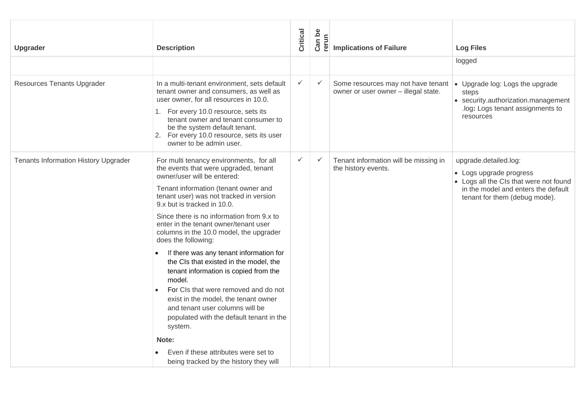| Upgrader                                    | <b>Description</b>                                                                                                                                                                                                                                                                                                                                                                                                                                                                                                                                                                                                                                                                                                                                                                                                  | Critical     | Can be<br>rerun | <b>Implications of Failure</b>                                                                                   | <b>Log Files</b>                                                                                                                                                   |
|---------------------------------------------|---------------------------------------------------------------------------------------------------------------------------------------------------------------------------------------------------------------------------------------------------------------------------------------------------------------------------------------------------------------------------------------------------------------------------------------------------------------------------------------------------------------------------------------------------------------------------------------------------------------------------------------------------------------------------------------------------------------------------------------------------------------------------------------------------------------------|--------------|-----------------|------------------------------------------------------------------------------------------------------------------|--------------------------------------------------------------------------------------------------------------------------------------------------------------------|
|                                             |                                                                                                                                                                                                                                                                                                                                                                                                                                                                                                                                                                                                                                                                                                                                                                                                                     |              |                 |                                                                                                                  | logged                                                                                                                                                             |
| <b>Resources Tenants Upgrader</b>           | In a multi-tenant environment, sets default<br>tenant owner and consumers, as well as<br>user owner, for all resources in 10.0.<br>1. For every 10.0 resource, sets its<br>tenant owner and tenant consumer to<br>be the system default tenant.<br>2. For every 10.0 resource, sets its user<br>owner to be admin user.                                                                                                                                                                                                                                                                                                                                                                                                                                                                                             | $\checkmark$ | $\checkmark$    | Some resources may not have tenant $\cdot$ Upgrade log: Logs the upgrade<br>owner or user owner - illegal state. | steps<br>• security.authorization.management<br>log: Logs tenant assignments to<br>resources                                                                       |
| <b>Tenants Information History Upgrader</b> | For multi tenancy environments, for all<br>the events that were upgraded, tenant<br>owner/user will be entered:<br>Tenant information (tenant owner and<br>tenant user) was not tracked in version<br>9.x but is tracked in 10.0.<br>Since there is no information from 9.x to<br>enter in the tenant owner/tenant user<br>columns in the 10.0 model, the upgrader<br>does the following:<br>If there was any tenant information for<br>$\bullet$<br>the CIs that existed in the model, the<br>tenant information is copied from the<br>model.<br>For CIs that were removed and do not<br>exist in the model, the tenant owner<br>and tenant user columns will be<br>populated with the default tenant in the<br>system.<br>Note:<br>Even if these attributes were set to<br>being tracked by the history they will | $\checkmark$ | $\checkmark$    | Tenant information will be missing in<br>the history events.                                                     | upgrade.detailed.log:<br>• Logs upgrade progress<br>• Logs all the CIs that were not found<br>in the model and enters the default<br>tenant for them (debug mode). |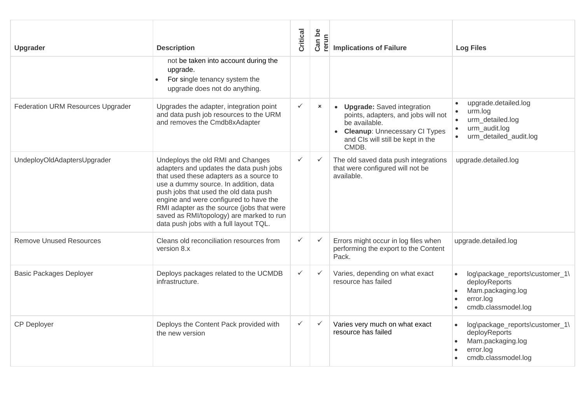| <b>Upgrader</b>                          | <b>Description</b>                                                                                                                                                                                                                                                                                                                                                                     | Critical     | Can be<br>Ξ.<br>୍କ        | <b>Implications of Failure</b>                                                                                                                                        | <b>Log Files</b>                                                                                                                      |
|------------------------------------------|----------------------------------------------------------------------------------------------------------------------------------------------------------------------------------------------------------------------------------------------------------------------------------------------------------------------------------------------------------------------------------------|--------------|---------------------------|-----------------------------------------------------------------------------------------------------------------------------------------------------------------------|---------------------------------------------------------------------------------------------------------------------------------------|
|                                          | not be taken into account during the<br>upgrade.<br>For single tenancy system the<br>upgrade does not do anything.                                                                                                                                                                                                                                                                     |              |                           |                                                                                                                                                                       |                                                                                                                                       |
| <b>Federation URM Resources Upgrader</b> | Upgrades the adapter, integration point<br>and data push job resources to the URM<br>and removes the Cmdb8xAdapter                                                                                                                                                                                                                                                                     | $\checkmark$ | $\boldsymbol{\mathsf{x}}$ | • Upgrade: Saved integration<br>points, adapters, and jobs will not<br>be available.<br>• Cleanup: Unnecessary CI Types<br>and CIs will still be kept in the<br>CMDB. | upgrade.detailed.log<br>$\bullet$<br>urm.log<br>$\bullet$<br>urm_detailed.log<br>$\bullet$<br>urm audit.log<br>urm detailed audit.log |
| UndeployOldAdaptersUpgrader              | Undeploys the old RMI and Changes<br>adapters and updates the data push jobs<br>that used these adapters as a source to<br>use a dummy source. In addition, data<br>push jobs that used the old data push<br>engine and were configured to have the<br>RMI adapter as the source (jobs that were<br>saved as RMI/topology) are marked to run<br>data push jobs with a full layout TQL. | $\checkmark$ | $\checkmark$              | The old saved data push integrations<br>that were configured will not be<br>available.                                                                                | upgrade.detailed.log                                                                                                                  |
| <b>Remove Unused Resources</b>           | Cleans old reconciliation resources from<br>version 8.x                                                                                                                                                                                                                                                                                                                                | $\checkmark$ | $\checkmark$              | Errors might occur in log files when<br>performing the export to the Content<br>Pack.                                                                                 | upgrade.detailed.log                                                                                                                  |
| <b>Basic Packages Deployer</b>           | Deploys packages related to the UCMDB<br>infrastructure.                                                                                                                                                                                                                                                                                                                               | $\checkmark$ | $\checkmark$              | Varies, depending on what exact<br>resource has failed                                                                                                                | log\package_reports\customer_1\<br>deployReports<br>Mam.packaging.log<br>error.log<br>cmdb.classmodel.log                             |
| <b>CP Deployer</b>                       | Deploys the Content Pack provided with<br>the new version                                                                                                                                                                                                                                                                                                                              | $\checkmark$ | $\checkmark$              | Varies very much on what exact<br>resource has failed                                                                                                                 | log\package_reports\customer_1\<br>deployReports<br>Mam.packaging.log<br>error.log<br>cmdb.classmodel.log                             |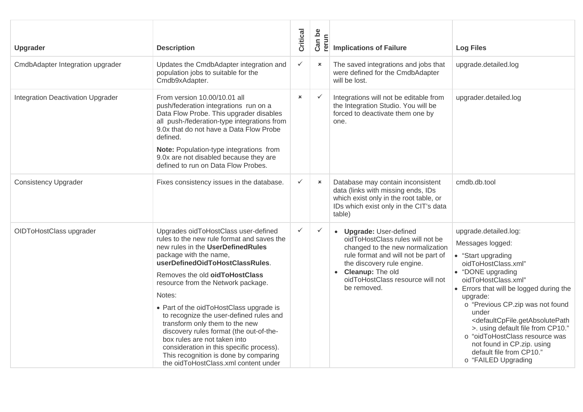| Upgrader                          | <b>Description</b>                                                                                                                                                                                                                                                                                                                                                                                                                                                                                                                                                                                     | Critical       | Can be<br>rerun | <b>Implications of Failure</b>                                                                                                                                                                                                                | <b>Log Files</b>                                                                                                                                                                                                                                                                                                                                                                                                                                                           |
|-----------------------------------|--------------------------------------------------------------------------------------------------------------------------------------------------------------------------------------------------------------------------------------------------------------------------------------------------------------------------------------------------------------------------------------------------------------------------------------------------------------------------------------------------------------------------------------------------------------------------------------------------------|----------------|-----------------|-----------------------------------------------------------------------------------------------------------------------------------------------------------------------------------------------------------------------------------------------|----------------------------------------------------------------------------------------------------------------------------------------------------------------------------------------------------------------------------------------------------------------------------------------------------------------------------------------------------------------------------------------------------------------------------------------------------------------------------|
| CmdbAdapter Integration upgrader  | Updates the CmdbAdapter integration and<br>population jobs to suitable for the<br>Cmdb9xAdapter.                                                                                                                                                                                                                                                                                                                                                                                                                                                                                                       | $\checkmark$   | $\pmb{\times}$  | The saved integrations and jobs that<br>were defined for the CmdbAdapter<br>will be lost.                                                                                                                                                     | upgrade.detailed.log                                                                                                                                                                                                                                                                                                                                                                                                                                                       |
| Integration Deactivation Upgrader | From version 10.00/10.01 all<br>push/federation integrations run on a<br>Data Flow Probe. This upgrader disables<br>all push-/federation-type integrations from<br>9.0x that do not have a Data Flow Probe<br>defined.<br>Note: Population-type integrations from<br>9.0x are not disabled because they are<br>defined to run on Data Flow Probes.                                                                                                                                                                                                                                                     | $\pmb{\times}$ | $\checkmark$    | Integrations will not be editable from<br>the Integration Studio. You will be<br>forced to deactivate them one by<br>one.                                                                                                                     | upgrader.detailed.log                                                                                                                                                                                                                                                                                                                                                                                                                                                      |
| <b>Consistency Upgrader</b>       | Fixes consistency issues in the database.                                                                                                                                                                                                                                                                                                                                                                                                                                                                                                                                                              | $\checkmark$   | $\pmb{\times}$  | Database may contain inconsistent<br>data (links with missing ends, IDs<br>which exist only in the root table, or<br>IDs which exist only in the CIT's data<br>table)                                                                         | cmdb.db.tool                                                                                                                                                                                                                                                                                                                                                                                                                                                               |
| OIDToHostClass upgrader           | Upgrades oidToHostClass user-defined<br>rules to the new rule format and saves the<br>new rules in the UserDefinedRules<br>package with the name,<br>userDefinedOidToHostClassRules.<br>Removes the old oidToHostClass<br>resource from the Network package.<br>Notes:<br>• Part of the oidToHostClass upgrade is<br>to recognize the user-defined rules and<br>transform only them to the new<br>discovery rules format (the out-of-the-<br>box rules are not taken into<br>consideration in this specific process).<br>This recognition is done by comparing<br>the oidToHostClass.xml content under | $\checkmark$   | $\checkmark$    | • Upgrade: User-defined<br>oidToHostClass rules will not be<br>changed to the new normalization<br>rule format and will not be part of<br>the discovery rule engine.<br>• Cleanup: The old<br>oidToHostClass resource will not<br>be removed. | upgrade.detailed.log:<br>Messages logged:<br>• "Start upgrading<br>oidToHostClass.xml"<br>• "DONE upgrading<br>oidToHostClass.xml"<br>• Errors that will be logged during the<br>upgrade:<br>o "Previous CP.zip was not found<br>under<br><defaultcpfile.getabsolutepath<br>&gt;. using default file from CP10."<br/>o "oidToHostClass resource was<br/>not found in CP.zip. using<br/>default file from CP10."<br/>o "FAILED Upgrading</defaultcpfile.getabsolutepath<br> |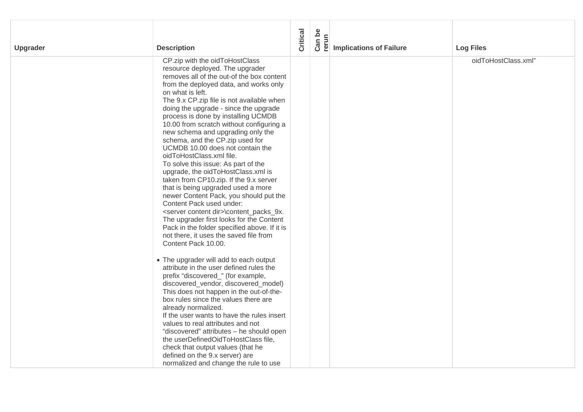| Upgrader | <b>Description</b>                                                                                                                                                                                                                                                                                                                                                                                                                                                                                                                                                                                                                                                                                                                                                                                                                                                                                                                                                                                                                                                                                                                                                                                                                                                                                                                                                                                                                                                                                                                          | Critical | Can be<br>rerun | <b>Implications of Failure</b> | <b>Log Files</b>    |
|----------|---------------------------------------------------------------------------------------------------------------------------------------------------------------------------------------------------------------------------------------------------------------------------------------------------------------------------------------------------------------------------------------------------------------------------------------------------------------------------------------------------------------------------------------------------------------------------------------------------------------------------------------------------------------------------------------------------------------------------------------------------------------------------------------------------------------------------------------------------------------------------------------------------------------------------------------------------------------------------------------------------------------------------------------------------------------------------------------------------------------------------------------------------------------------------------------------------------------------------------------------------------------------------------------------------------------------------------------------------------------------------------------------------------------------------------------------------------------------------------------------------------------------------------------------|----------|-----------------|--------------------------------|---------------------|
|          | CP.zip with the oidToHostClass<br>resource deployed. The upgrader<br>removes all of the out-of the box content<br>from the deployed data, and works only<br>on what is left.<br>The 9.x CP.zip file is not available when<br>doing the upgrade - since the upgrade<br>process is done by installing UCMDB<br>10.00 from scratch without configuring a<br>new schema and upgrading only the<br>schema, and the CP.zip used for<br>UCMDB 10.00 does not contain the<br>oidToHostClass.xml file.<br>To solve this issue: As part of the<br>upgrade, the oidToHostClass.xml is<br>taken from CP10.zip. If the 9.x server<br>that is being upgraded used a more<br>newer Content Pack, you should put the<br>Content Pack used under:<br><server content="" dir="">\content_packs_9x.<br/>The upgrader first looks for the Content<br/>Pack in the folder specified above. If it is<br/>not there, it uses the saved file from<br/>Content Pack 10.00.<br/>• The upgrader will add to each output<br/>attribute in the user defined rules the<br/>prefix "discovered_" (for example,<br/>discovered_vendor, discovered_model)<br/>This does not happen in the out-of-the-<br/>box rules since the values there are<br/>already normalized.<br/>If the user wants to have the rules insert<br/>values to real attributes and not<br/>"discovered" attributes - he should open<br/>the userDefinedOidToHostClass file,<br/>check that output values (that he<br/>defined on the 9.x server) are<br/>normalized and change the rule to use</server> |          |                 |                                | oidToHostClass.xml" |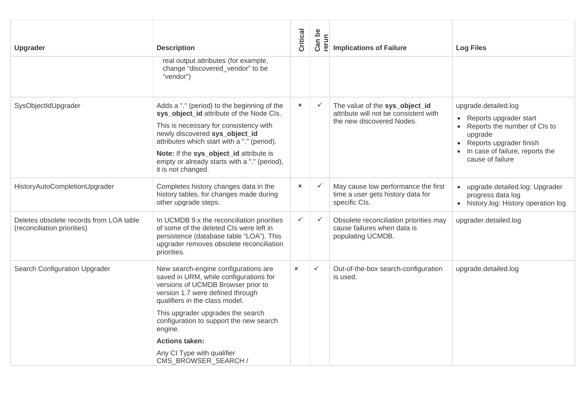| <b>Upgrader</b>                                                        | <b>Description</b>                                                                                                                                                                                                                                                                                                                  | Critical       | Can be<br>rerun | <b>Implications of Failure</b>                                                                       | <b>Log Files</b>                                                                                                                                                                           |
|------------------------------------------------------------------------|-------------------------------------------------------------------------------------------------------------------------------------------------------------------------------------------------------------------------------------------------------------------------------------------------------------------------------------|----------------|-----------------|------------------------------------------------------------------------------------------------------|--------------------------------------------------------------------------------------------------------------------------------------------------------------------------------------------|
|                                                                        | real output attributes (for example,<br>change "discovered_vendor" to be<br>"vendor")                                                                                                                                                                                                                                               |                |                 |                                                                                                      |                                                                                                                                                                                            |
| SysObjectIdUpgrader                                                    | Adds a "." (period) to the beginning of the<br>sys_object_id attribute of the Node Cls.<br>This is necessary for consistency with<br>newly discovered sys_object_id<br>attributes which start with a "." (period).<br>Note: If the sys_object_id attribute is<br>empty or already starts with a "." (period),<br>it is not changed. | $\pmb{\times}$ | $\checkmark$    | The value of the sys_object_id<br>attribute will not be consistent with<br>the new discovered Nodes. | upgrade.detailed.log<br>• Reports upgrader start<br>Reports the number of CIs to<br>upgrade<br>Reports upgrader finish<br>$\bullet$<br>In case of failure, reports the<br>cause of failure |
| HistoryAutoCompletionUpgrader                                          | Completes history changes data in the<br>history tables, for changes made during<br>other upgrade steps.                                                                                                                                                                                                                            | ×              | $\checkmark$    | May cause low performance the first<br>time a user gets history data for<br>specific CIs.            | upgrade.detailed.log: Upgrader<br>progress data log<br>• history.log: History operation log                                                                                                |
| Deletes obsolete records from LOA table<br>(reconciliation priorities) | In UCMDB 9.x the reconciliation priorities<br>of some of the deleted CIs were left in<br>persistence (database table "LOA"). This<br>upgrader removes obsolete reconciliation<br>priorities.                                                                                                                                        | ✓              | $\checkmark$    | Obsolete reconciliation priorities may<br>cause failures when data is<br>populating UCMDB.           | upgrader.detailed.log                                                                                                                                                                      |
| Search Configuration Upgrader                                          | New search-engine configurations are<br>saved in URM, while configurations for<br>versions of UCMDB Browser prior to<br>version 1.7 were defined through<br>qualifiers in the class model.                                                                                                                                          | $\pmb{\times}$ | $\checkmark$    | Out-of-the-box search-configuration<br>is used.                                                      | upgrade.detailed.log                                                                                                                                                                       |
|                                                                        | This upgrader upgrades the search<br>configuration to support the new search<br>engine.                                                                                                                                                                                                                                             |                |                 |                                                                                                      |                                                                                                                                                                                            |
|                                                                        | <b>Actions taken:</b>                                                                                                                                                                                                                                                                                                               |                |                 |                                                                                                      |                                                                                                                                                                                            |
|                                                                        | Any CI Type with qualifier<br>CMS_BROWSER_SEARCH /                                                                                                                                                                                                                                                                                  |                |                 |                                                                                                      |                                                                                                                                                                                            |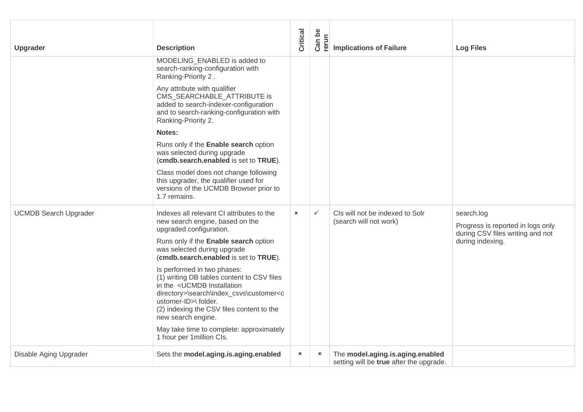| <b>Upgrader</b>              | <b>Description</b>                                                                                                                                                                                                                                                                    | Critical       | Can be<br>rerun | <b>Implications of Failure</b>                                              | <b>Log Files</b>                                                                                        |
|------------------------------|---------------------------------------------------------------------------------------------------------------------------------------------------------------------------------------------------------------------------------------------------------------------------------------|----------------|-----------------|-----------------------------------------------------------------------------|---------------------------------------------------------------------------------------------------------|
|                              | MODELING ENABLED is added to<br>search-ranking-configuration with<br>Ranking-Priority 2.                                                                                                                                                                                              |                |                 |                                                                             |                                                                                                         |
|                              | Any attribute with qualifier<br>CMS_SEARCHABLE_ATTRIBUTE is<br>added to search-indexer-configuration<br>and to search-ranking-configuration with<br>Ranking-Priority 2.                                                                                                               |                |                 |                                                                             |                                                                                                         |
|                              | Notes:                                                                                                                                                                                                                                                                                |                |                 |                                                                             |                                                                                                         |
|                              | Runs only if the Enable search option<br>was selected during upgrade<br>(cmdb.search.enabled is set to TRUE).                                                                                                                                                                         |                |                 |                                                                             |                                                                                                         |
|                              | Class model does not change following<br>this upgrader, the qualifier used for<br>versions of the UCMDB Browser prior to<br>1.7 remains.                                                                                                                                              |                |                 |                                                                             |                                                                                                         |
| <b>UCMDB Search Upgrader</b> | Indexes all relevant CI attributes to the<br>new search engine, based on the<br>upgraded configuration.<br>Runs only if the Enable search option<br>was selected during upgrade<br>(cmdb.search.enabled is set to TRUE).<br>Is performed in two phases:                               | $\pmb{\times}$ | $\checkmark$    | CIs will not be indexed to Solr<br>(search will not work)                   | search.log<br>Progress is reported in logs only<br>during CSV files writing and not<br>during indexing. |
|                              | (1) writing DB tables content to CSV files<br>in the <ucmdb installation<br="">directory&gt;\search\index_csvs\customer<c<br>ustomer-ID&gt;\ folder.<br/>(2) indexing the CSV files content to the<br/>new search engine.<br/>May take time to complete: approximately</c<br></ucmdb> |                |                 |                                                                             |                                                                                                         |
|                              | 1 hour per 1 million Cls.                                                                                                                                                                                                                                                             |                |                 |                                                                             |                                                                                                         |
| Disable Aging Upgrader       | Sets the model.aging.is.aging.enabled                                                                                                                                                                                                                                                 | $\pmb{\times}$ | $\pmb{\times}$  | The model.aging.is.aging.enabled<br>setting will be true after the upgrade. |                                                                                                         |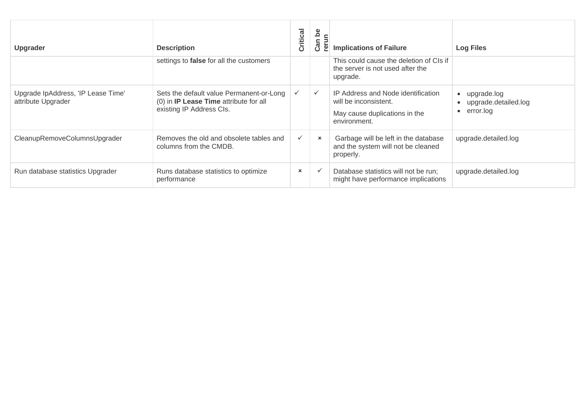| <b>Upgrader</b>                                          | <b>Description</b>                                                                                             | Critical       | ء<br>an<br>ု့ၿ<br>ن       | <b>Implications of Failure</b>                                                                               | <b>Log Files</b>                                 |
|----------------------------------------------------------|----------------------------------------------------------------------------------------------------------------|----------------|---------------------------|--------------------------------------------------------------------------------------------------------------|--------------------------------------------------|
|                                                          | settings to false for all the customers                                                                        |                |                           | This could cause the deletion of CIs if<br>the server is not used after the<br>upgrade.                      |                                                  |
| Upgrade IpAddress, 'IP Lease Time'<br>attribute Upgrader | Sets the default value Permanent-or-Long<br>(0) in IP Lease Time attribute for all<br>existing IP Address Cls. |                | $\checkmark$              | IP Address and Node identification<br>will be inconsistent.<br>May cause duplications in the<br>environment. | upgrade.log<br>upgrade.detailed.log<br>error.log |
| CleanupRemoveColumnsUpgrader                             | Removes the old and obsolete tables and<br>columns from the CMDB.                                              | $\checkmark$   | $\boldsymbol{\mathsf{x}}$ | Garbage will be left in the database<br>and the system will not be cleaned<br>properly.                      | upgrade.detailed.log                             |
| Run database statistics Upgrader                         | Runs database statistics to optimize<br>performance                                                            | $\pmb{\times}$ |                           | Database statistics will not be run;<br>might have performance implications                                  | upgrade.detailed.log                             |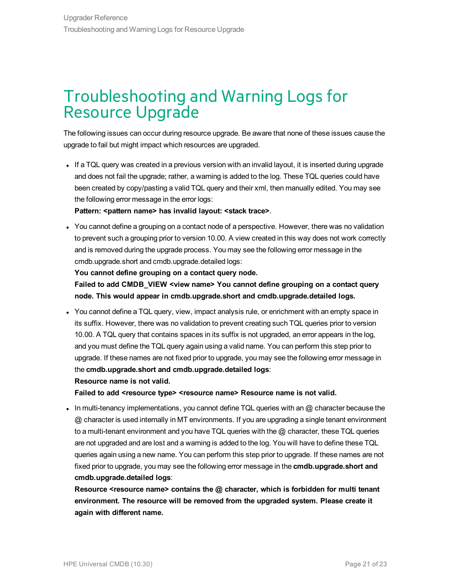### <span id="page-20-0"></span>Troubleshooting and Warning Logs for Resource Upgrade

The following issues can occur during resource upgrade. Be aware that none of these issues cause the upgrade to fail but might impact which resources are upgraded.

If a TQL query was created in a previous version with an invalid layout, it is inserted during upgrade and does not fail the upgrade; rather, a warning is added to the log. These TQL queries could have been created by copy/pasting a valid TQL query and their xml, then manually edited. You may see the following error message in the error logs:

**Pattern:** *<pattern* **name> has invalid layout: <b><stack** trace>.

• You cannot define a grouping on a contact node of a perspective. However, there was no validation to prevent such a grouping prior to version 10.00. A view created in this way does not work correctly and is removed during the upgrade process. You may see the following error message in the cmdb.upgrade.short and cmdb.upgrade.detailed logs:

#### **You cannot define grouping on a contact query node.**

**Failed to add CMDB\_VIEW <view name> You cannot define grouping on a contact query node. This would appear in cmdb.upgrade.short and cmdb.upgrade.detailed logs.**

• You cannot define a TQL query, view, impact analysis rule, or enrichment with an empty space in its suffix. However, there was no validation to prevent creating such TQL queries prior to version 10.00. A TQL query that contains spaces in its suffix is not upgraded, an error appears in the log, and you must define the TQL query again using a valid name. You can perform this step prior to upgrade. If these names are not fixed prior to upgrade, you may see the following error message in the **cmdb.upgrade.short and cmdb.upgrade.detailed logs**:

#### **Resource name is not valid.**

**Failed to add <resource type> <resource name> Resource name is not valid.**

 $\bullet$  In multi-tenancy implementations, you cannot define TQL queries with an  $@$  character because the @ character is used internally in MT environments. If you are upgrading a single tenant environment to a multi-tenant environment and you have TQL queries with the @ character, these TQL queries are not upgraded and are lost and a warning is added to the log. You will have to define these TQL queries again using a new name. You can perform this step prior to upgrade. If these names are not fixed prior to upgrade, you may see the following error message in the **cmdb.upgrade.short and cmdb.upgrade.detailed logs**:

**Resource <resource name> contains the @ character, which is forbidden for multi tenant environment. The resource will be removed from the upgraded system. Please create it again with different name.**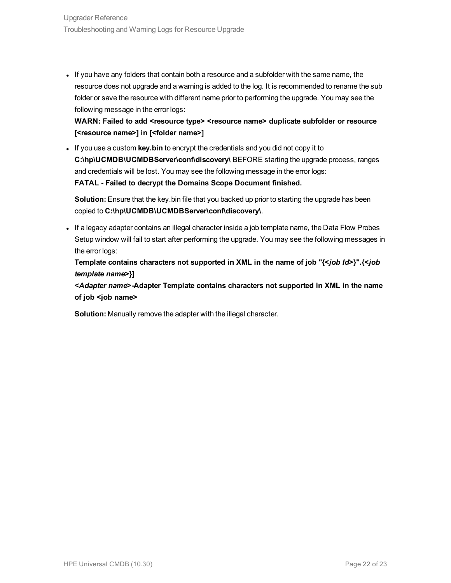If you have any folders that contain both a resource and a subfolder with the same name, the resource does not upgrade and a warning is added to the log. It is recommended to rename the sub folder or save the resource with different name prior to performing the upgrade. You may see the following message in the error logs:

**WARN: Failed to add <resource type> <resource name> duplicate subfolder or resource [<resource name>] in [<folder name>]**

. If you use a custom key.bin to encrypt the credentials and you did not copy it to **C:\hp\UCMDB\UCMDBServer\conf\discovery\** BEFORE starting the upgrade process, ranges and credentials will be lost. You may see the following message in the error logs: **FATAL - Failed to decrypt the Domains Scope Document finished.**

**Solution:** Ensure that the key.bin file that you backed up prior to starting the upgrade has been copied to **C:\hp\UCMDB\UCMDBServer\conf\discovery\**.

If a legacy adapter contains an illegal character inside a job template name, the Data Flow Probes Setup window will fail to start after performing the upgrade. You may see the following messages in the error logs:

**Template contains characters not supported in XML in the name of job "{<***job Id***>}".{<***job template name***>}]**

**<***Adapter name***>-Adapter Template contains characters not supported in XML in the name of job <job name>**

**Solution:** Manually remove the adapter with the illegal character.